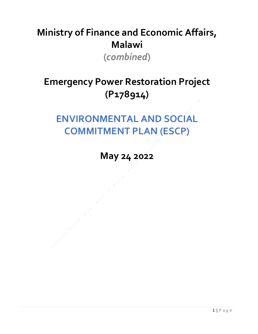## **Ministry of Finance and Economic Affairs, Malawi (***combined***)**

## **Emergency Power Restoration Project (P178914)**

## **ENVIRONMENTAL AND SOCIAL COMMITMENT PLAN (ESCP)**

**May 24 2022**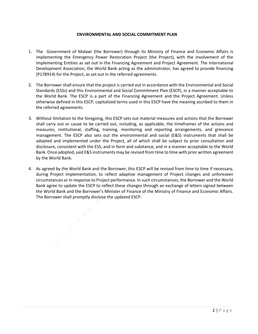## **ENVIRONMENTAL AND SOCIAL COMMITMENT PLAN**

- 1. The Government of Malawi (the Borrower) through its Ministry of Finance and Economic Affairs is implementing the Emergency Power Restoration Project (the Project), with the involvement of the Implementing Entities as set out in the Financing Agreement and Project Agreement. The International Development Association, the World Bank acting as the administrator, has agreed to provide financing (P178914) for the Project, as set out in the referred agreements.
- 2. The Borrower shall ensure that the project is carried out in accordance with the Environmental and Social Standards (ESSs) and this Environmental and Social Commitment Plan (ESCP), in a manner acceptable to the World Bank. The ESCP is a part of the Financing Agreement and the Project Agreement. Unless otherwise defined in this ESCP, capitalized terms used in this ESCP have the meaning ascribed to them in the referred agreements.
- 3. Without limitation to the foregoing, this ESCP sets out material measures and actions that the Borrower shall carry out or cause to be carried out, including, as applicable, the timeframes of the actions and measures, institutional, staffing, training, monitoring and reporting arrangements, and grievance management. The ESCP also sets out the environmental and social (E&S) instruments that shall be adopted and implemented under the Project, all of which shall be subject to prior consultation and disclosure, consistent with the ESS, and in form and substance, and in a manner acceptable to the World Bank. Once adopted, said E&S instruments may be revised from time to time with prior written agreement by the World Bank.
- 4. As agreed by the World Bank and the Borrower, this ESCP will be revised from time to time if necessary, during Project implementation, to reflect adaptive management of Project changes and unforeseen circumstances or in response to Project performance. In such circumstances, the Borrower and the World Bank agree to update the ESCP to reflect these changes through an exchange of letters signed between the World Bank and the Borrower's Minister of Finance of the Ministry of Finance and Economic Affairs. The Borrower shall promptly disclose the updated ESCP.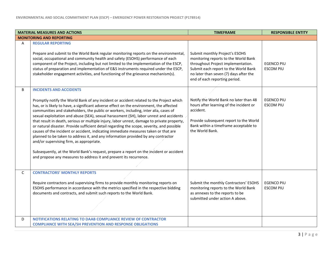|              | <b>MATERIAL MEASURES AND ACTIONS</b>                                                                                                                                                                                                                                                                                                                                                                                                                                                                                                                                                                                                                                                                                                                                                                                                                                                                                                                         | <b>TIMEFRAME</b>                                                                                                                                                                                     | <b>RESPONSIBLE ENTITY</b>             |
|--------------|--------------------------------------------------------------------------------------------------------------------------------------------------------------------------------------------------------------------------------------------------------------------------------------------------------------------------------------------------------------------------------------------------------------------------------------------------------------------------------------------------------------------------------------------------------------------------------------------------------------------------------------------------------------------------------------------------------------------------------------------------------------------------------------------------------------------------------------------------------------------------------------------------------------------------------------------------------------|------------------------------------------------------------------------------------------------------------------------------------------------------------------------------------------------------|---------------------------------------|
|              | <b>MONITORING AND REPORTING</b>                                                                                                                                                                                                                                                                                                                                                                                                                                                                                                                                                                                                                                                                                                                                                                                                                                                                                                                              |                                                                                                                                                                                                      |                                       |
| A            | <b>REGULAR REPORTING</b><br>Prepare and submit to the World Bank regular monitoring reports on the environmental,                                                                                                                                                                                                                                                                                                                                                                                                                                                                                                                                                                                                                                                                                                                                                                                                                                            | Submit monthly Project's ESOHS                                                                                                                                                                       |                                       |
|              | social, occupational and community health and safety (ESOHS) performance of each<br>component of the Project, including but not limited to the implementation of the ESCP,<br>status of preparation and implementation of E&S instruments required under the ESCP,<br>stakeholder engagement activities, and functioning of the grievance mechanism(s).                                                                                                                                                                                                                                                                                                                                                                                                                                                                                                                                                                                                      | monitoring reports to the World Bank<br>throughout Project implementation.<br>Submit each report to the World Bank<br>no later than seven (7) days after the<br>end of each reporting period.        | <b>EGENCO PIU</b><br><b>ESCOM PIU</b> |
| B            | <b>INCIDENTS AND ACCIDENTS</b>                                                                                                                                                                                                                                                                                                                                                                                                                                                                                                                                                                                                                                                                                                                                                                                                                                                                                                                               |                                                                                                                                                                                                      |                                       |
|              | Promptly notify the World Bank of any incident or accident related to the Project which<br>has, or is likely to have, a significant adverse effect on the environment, the affected<br>communities and stakeholders, the public or workers, including, inter alia, cases of<br>sexual exploitation and abuse (SEA), sexual harassment (SH), labor unrest and accidents<br>that result in death, serious or multiple injury, labor unrest, damage to private property,<br>or natural disaster. Provide sufficient detail regarding the scope, severity, and possible<br>causes of the incident or accident, indicating immediate measures taken or that are<br>planned to be taken to address it, and any information provided by any contractor<br>and/or supervising firm, as appropriate.<br>Subsequently, at the World Bank's request, prepare a report on the incident or accident<br>and propose any measures to address it and prevent its recurrence. | Notify the World Bank no later than 48<br>hours after learning of the incident or<br>accident.<br>Provide subsequent report to the World<br>Bank within a timeframe acceptable to<br>the World Bank. | <b>EGENCO PIU</b><br><b>ESCOM PIU</b> |
| $\mathsf{C}$ | <b>CONTRACTORS' MONTHLY REPORTS</b><br>Require contractors and supervising firms to provide monthly monitoring reports on<br>ESOHS performance in accordance with the metrics specified in the respective bidding<br>documents and contracts, and submit such reports to the World Bank.                                                                                                                                                                                                                                                                                                                                                                                                                                                                                                                                                                                                                                                                     | Submit the monthly Contractors' ESOHS<br>monitoring reports to the World Bank<br>as annexes to the reports to be<br>submitted under action A above.                                                  | <b>EGENCO PIU</b><br><b>ESCOM PIU</b> |
| D            | <b>NOTIFICATIONS RELATING TO DAAB COMPLIANCE REVIEW OF CONTRACTOR</b><br><b>COMPLIANCE WITH SEA/SH PREVENTION AND RESPONSE OBLIGATIONS</b>                                                                                                                                                                                                                                                                                                                                                                                                                                                                                                                                                                                                                                                                                                                                                                                                                   |                                                                                                                                                                                                      |                                       |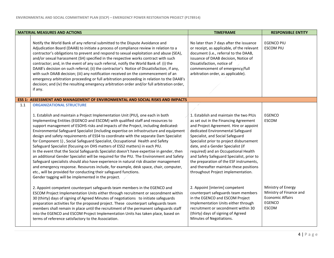|     | <b>MATERIAL MEASURES AND ACTIONS</b>                                                                                                                                                                                                                                                                                                                                                                                                                                                                                                                                                                                                                                                                                                                                                                                                                                                                                                                                                                                                                                                                                                               | <b>TIMEFRAME</b>                                                                                                                                                                                                                                                                                                                                                                                                                                                                                     | <b>RESPONSIBLE ENTITY</b>                                                                                 |
|-----|----------------------------------------------------------------------------------------------------------------------------------------------------------------------------------------------------------------------------------------------------------------------------------------------------------------------------------------------------------------------------------------------------------------------------------------------------------------------------------------------------------------------------------------------------------------------------------------------------------------------------------------------------------------------------------------------------------------------------------------------------------------------------------------------------------------------------------------------------------------------------------------------------------------------------------------------------------------------------------------------------------------------------------------------------------------------------------------------------------------------------------------------------|------------------------------------------------------------------------------------------------------------------------------------------------------------------------------------------------------------------------------------------------------------------------------------------------------------------------------------------------------------------------------------------------------------------------------------------------------------------------------------------------------|-----------------------------------------------------------------------------------------------------------|
|     | Notify the World Bank of any referral submitted to the Dispute Avoidance and<br>Adjudication Board (DAAB) to initiate a process of compliance review in relation to a<br>contractor's obligations to prevent and respond to sexual exploitation and abuse (SEA),<br>and/or sexual harassment (SH) specified in the respective works contract with such<br>contractor; and, in the event of any such referral, notify the World Bank of: (i) the<br>DAAB's decision on such referral; (ii) the contractor's Notice of Dissatisfaction, if any,<br>with such DAAB decision; (iii) any notification received on the commencement of an<br>emergency arbitration proceeding or full arbitration proceeding in relation to the DAAB's<br>decision; and (iv) the resulting emergency arbitration order and/or full arbitration order,<br>if any.                                                                                                                                                                                                                                                                                                         | No later than 7 days after the issuance<br>or receipt, as applicable, of the relevant<br>document (i.e., referral to the DAAB,<br>issuance of DAAB decision, Notice of<br>Dissatisfaction, notice of<br>commencement of emergency/full<br>arbitration order, as applicable).                                                                                                                                                                                                                         | <b>EGENCO PIU</b><br><b>ESCOM PIU</b>                                                                     |
|     | <b>ESS 1: ASSESSMENT AND MANAGEMENT OF ENVIRONMENTAL AND SOCIAL RISKS AND IMPACTS</b>                                                                                                                                                                                                                                                                                                                                                                                                                                                                                                                                                                                                                                                                                                                                                                                                                                                                                                                                                                                                                                                              |                                                                                                                                                                                                                                                                                                                                                                                                                                                                                                      |                                                                                                           |
| 1.1 | <b>ORGANIZATIONAL STRUCTURE</b><br>1. Establish and maintain a Project Implementation Unit (PIU), one each in both<br>Implementing Entities (EGENCO and ESCOM) with qualified staff and resources to<br>support management of ESOHS risks and impacts of the Project, including dedicated:<br>Environmental Safeguard Specialist (including expertise on infrastructure and equipment<br>design and safety requirements of ESS4 to coordinate with the separate Dam Specialist<br>for Component 1), Social Safeguard Specialist, Occupational Health and Safety<br>Safeguard Specialist (focusing on OHS matters of ESS2 matters) in each PIU.<br>In the event that the Social Safeguards Specialist doesn't have expertise in gender, then<br>an additional Gender Specialist will be required for the PIU. The Environment and Safety<br>Safeguard specialists should also have experience in natural risk disaster management<br>and emergency response. Resources include, for example, desk space, chair, computer,<br>etc., will be provided for conducting their safeguard functions.<br>Gender tagging will be implemented in the project. | 1. Establish and maintain the two PIUs<br>as set out in the Financing Agreement<br>and Project Agreement. Hire or appoint<br>dedicated Environmental Safeguard<br>Specialist, and Social Safeguard<br>Specialist prior to project disbursement<br>date, and a Gender Specialist (if<br>required) and an Occupational Health<br>and Safety Safeguard Specialist, prior to<br>the preparation of the ESF instruments,<br>and thereafter maintain these positions<br>throughout Project implementation. | EGENCO<br><b>ESCOM</b>                                                                                    |
|     | 2. Appoint competent counterpart safeguards team members in the EGENCO and<br>ESCOM Project Implementation Units either through recruitment or secondment within<br>30 (thirty) days of signing of Agreed Minutes of negotiations to initiate safeguards<br>preparation activities for the proposed project. These counterpart safeguards team<br>members shall remain in place until the recruitment of the permanent safeguards staff<br>into the EGENCO and ESCOM Project Implementation Units has taken place, based on<br>terms of reference satisfactory to the Association.                                                                                                                                                                                                                                                                                                                                                                                                                                                                                                                                                                 | 2. Appoint [interim] competent<br>counterpart safeguards team members<br>in the EGENCO and ESCOM Project<br>Implementation Units either through<br>recruitment or secondment within 30<br>(thirty) days of signing of Agreed<br>Minutes of Negotiations.                                                                                                                                                                                                                                             | Ministry of Energy<br>Ministry of Finance and<br><b>Economic Affairs</b><br><b>EGENCO</b><br><b>ESCOM</b> |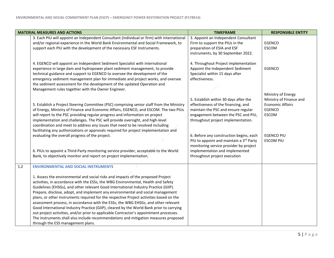|     | <b>MATERIAL MEASURES AND ACTIONS</b>                                                                                                                                                                                                                                                                                                                                                                                                                                                                                                                                                                                                                                                                                                           | <b>TIMEFRAME</b>                                                                                                                                                                                                                                                                                                                                                                                   | <b>RESPONSIBLE ENTITY</b>                                                                                                                          |
|-----|------------------------------------------------------------------------------------------------------------------------------------------------------------------------------------------------------------------------------------------------------------------------------------------------------------------------------------------------------------------------------------------------------------------------------------------------------------------------------------------------------------------------------------------------------------------------------------------------------------------------------------------------------------------------------------------------------------------------------------------------|----------------------------------------------------------------------------------------------------------------------------------------------------------------------------------------------------------------------------------------------------------------------------------------------------------------------------------------------------------------------------------------------------|----------------------------------------------------------------------------------------------------------------------------------------------------|
|     | 3. Each PIU will appoint an Independent Consultant (individual or firm) with international<br>and/or regional experience in the World Bank Environmental and Social Framework, to<br>support each PIU with the development of the necessary ESF Instruments.                                                                                                                                                                                                                                                                                                                                                                                                                                                                                   | 3. Appoint an Independent Consultant<br>Firm to support the PIUs in the<br>preparation of ESIA and ESF<br>instruments, by 30 September 2022.                                                                                                                                                                                                                                                       | <b>EGENCO</b><br>ESCOM                                                                                                                             |
|     | 4. EGENCO will appoint an Independent Sediment Specialist with international<br>experience in large dam and hydropower plant sediment management, to provide<br>technical guidance and support to EGENCO to oversee the development of the<br>emergency sediment management plan for immediate and project works, and oversee<br>the sediment assessment for the development of the updated Operation and<br>Management rules together with the Owner Engineer.                                                                                                                                                                                                                                                                                | 4. Throughout Project implementation<br>Appoint the Independent Sediment<br>Specialist within 15 days after<br>effectiveness.                                                                                                                                                                                                                                                                      | <b>EGENCO</b>                                                                                                                                      |
|     | 5. Establish a Project Steering Committee (PSC) comprising senior staff from the Ministry<br>of Energy, Ministry of Finance and Economic Affairs, EGENCO, and ESCOM. The two PIUs<br>will report to the PSC providing regular progress and information on project<br>implementation and challenges. The PSC will provide oversight, and high-level<br>coordination and meet to address any issues that need to be resolved including<br>facilitating any authorizations or approvals required for project implementation and<br>evaluating the overall progress of the project.<br>6. PIUs to appoint a Third-Party monitoring service provider, acceptable to the World<br>Bank, to objectively monitor and report on project implementation. | 5. Establish within 30 days after the<br>effectiveness of the financing, and<br>maintain the PSC and ensure regular<br>engagement between the PSC and PIU,<br>throughout project implementation.<br>6. Before any construction begins, each<br>PIU to appoint and maintain a 3rd Party<br>monitoring service provider by project<br>implementation and implemented<br>throughout project execution | Ministry of Energy<br>Ministry of Finance and<br><b>Economic Affairs</b><br><b>EGENCO</b><br><b>ESCOM</b><br><b>EGENCO PIU</b><br><b>ESCOM PIU</b> |
| 1.2 | <b>ENVIRONMENTAL AND SOCIAL INSTRUMENTS</b><br>1. Assess the environmental and social risks and impacts of the proposed Project<br>activities, in accordance with the ESSs, the WBG Environmental, Health and Safety                                                                                                                                                                                                                                                                                                                                                                                                                                                                                                                           |                                                                                                                                                                                                                                                                                                                                                                                                    |                                                                                                                                                    |
|     | Guidelines (EHSGs), and other relevant Good International Industry Practice (GIIP).<br>Prepare, disclose, adopt, and implement any environmental and social management<br>plans, or other instruments required for the respective Project activities based on the<br>assessment process, in accordance with the ESSs, the WBG EHSGs, and other relevant<br>Good International Industry Practice (GIIP), cleared by the World Bank prior to carrying<br>out project activities, and/or prior to applicable Contractor's appointment processes.                                                                                                                                                                                                  |                                                                                                                                                                                                                                                                                                                                                                                                    |                                                                                                                                                    |
|     | The instruments shall also include recommendations and mitigation measures proposed<br>through the ESS management plans.                                                                                                                                                                                                                                                                                                                                                                                                                                                                                                                                                                                                                       |                                                                                                                                                                                                                                                                                                                                                                                                    |                                                                                                                                                    |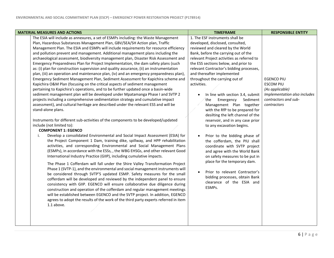Г

| <b>MATERIAL MEASURES AND ACTIONS</b>                                                                                                                                                                                                                                                                                                                                                                                                                                                                                                                                                                                                                                                                                                                                                                                                                                                                                                                                                                                                                                                                                                                                                                                                                                                                                                                                                                                                                                                                                                                                                                                                                                                                                                                                                                                                                                                                                                                                                                                                                                                                                                                                                                                                                                                                                                                                                                                                                                                                          | <b>TIMEFRAME</b>                                                                                                                                                                                                                                                                                                                                                                                                                                                                                                                                                                                                                                                                                                                                                                                                                                                                                                           | <b>RESPONSIBLE ENTITY</b>                                                                                                       |
|---------------------------------------------------------------------------------------------------------------------------------------------------------------------------------------------------------------------------------------------------------------------------------------------------------------------------------------------------------------------------------------------------------------------------------------------------------------------------------------------------------------------------------------------------------------------------------------------------------------------------------------------------------------------------------------------------------------------------------------------------------------------------------------------------------------------------------------------------------------------------------------------------------------------------------------------------------------------------------------------------------------------------------------------------------------------------------------------------------------------------------------------------------------------------------------------------------------------------------------------------------------------------------------------------------------------------------------------------------------------------------------------------------------------------------------------------------------------------------------------------------------------------------------------------------------------------------------------------------------------------------------------------------------------------------------------------------------------------------------------------------------------------------------------------------------------------------------------------------------------------------------------------------------------------------------------------------------------------------------------------------------------------------------------------------------------------------------------------------------------------------------------------------------------------------------------------------------------------------------------------------------------------------------------------------------------------------------------------------------------------------------------------------------------------------------------------------------------------------------------------------------|----------------------------------------------------------------------------------------------------------------------------------------------------------------------------------------------------------------------------------------------------------------------------------------------------------------------------------------------------------------------------------------------------------------------------------------------------------------------------------------------------------------------------------------------------------------------------------------------------------------------------------------------------------------------------------------------------------------------------------------------------------------------------------------------------------------------------------------------------------------------------------------------------------------------------|---------------------------------------------------------------------------------------------------------------------------------|
| The ESIA will include as annexures, a set of ESMPs including: the Waste Management<br>Plan, Hazardous Substances Management Plan, GBV/SEA/SH Action plan, Traffic<br>Management Plan. The ESIA and ESMPs will include requirements for resource efficiency<br>and pollution prevent and management. Additional management plans including the<br>archaeological assessment, biodiversity management plan, Disaster Risk Assessment and<br>Emergency Preparedness Plan for Project Implementation, the dam safety plans (such<br>as: (i) plan for construction supervision and quality assurance, (ii) an instrumentation<br>plan, (iii) an operation and maintenance plan, (iv) and an emergency preparedness plan),<br>Emergency Sediment Management Plan, Sediment Assessment for Kapichira scheme and<br>Kapichira O&M Plan (focusing on the critical aspects of sediment management<br>pertaining to Kapichira's operations, and to be further updated once a basin-wide<br>sediment management plan will be developed under Mpatamanga Phase I and SVTP 2<br>projects including a comprehensive sedimentation strategy and cumulative impact<br>assessment), and cultural heritage are described under the relevant ESS and will be<br>stand-alone plans.<br>Instruments for different sub-activities of the components to be developed/updated<br>include (not limited to):<br><b>COMPONENT 1: EGENCO</b><br>Develop a consolidated Environmental and Social Impact Assessment (ESIA) for<br>i.<br>the Project Component 1 Dam, training dike, spillway, and HPP rehabilitation<br>activities, and corresponding Environmental and Social Management Plans<br>(ESMPs), in accordance with the ESSs, , the WBG EHSGs, and other relevant Good<br>International Industry Practice (GIIP), including cumulative impacts.<br>The Phase 1 Cofferdam will fall under the Shire Valley Transformation Project<br>Phase 1 (SVTP-1), and the environmental and social management instruments will<br>be considered through SVTP'S updated ESMP. Safety measures for the small<br>cofferdam will be developed and reviewed by the independent panel to ensure<br>consistency with GIIP. EGENCO will ensure collaborative due diligence during<br>construction and operation of the cofferdam and regular management meetings<br>will be established between EGENCO and the SVTP project. In addition, EGENCO<br>agrees to adopt the results of the work of the third party experts referred in item<br>1.1 above. | 1. The ESF instruments shall be<br>developed, disclosed, consulted,<br>reviewed and cleared by the World<br>Bank, before the carrying out of the<br>relevant Project activities as referred to<br>the ESS sections below, and prior to<br>relevant Contractor's bidding processes,<br>and thereafter implemented<br>throughout the carrying out of<br>activities.<br>In line with section 3.4, submit<br>the<br>Emergency<br>Sediment<br>Management Plan together<br>with the RfP to be prepared for<br>desilting the left channel of the<br>reservoir, and in any case prior<br>to any excavation begins.<br>Prior to the bidding phase of<br>the cofferdam, the PIU shall<br>coordinate with SVTP project<br>and agree with the World Bank<br>on safety measures to be put in<br>place for the temporary dam.<br>Prior to relevant Contractor's<br>bidding processes, obtain Bank<br>clearance of the ESIA and<br>ESMPs. | <b>EGENCO PIU</b><br><b>ESCOM PIU</b><br>(As applicable)<br>Implementation also includes<br>contractors and sub-<br>contractors |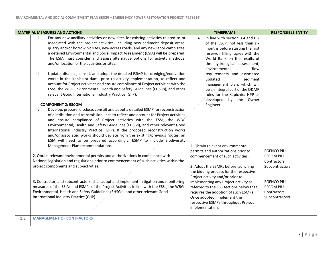|     | <b>MATERIAL MEASURES AND ACTIONS</b>                                                                                                                                                                                                                                                                                                                                                                                                                                                                                                                                                                                                                                                                                                                                                                                                                                                                                                                                                                                                                                                                                                                                                                                                                                                                                                                                                                                                                                                                                                                                                                                                                                                                                                                                                                                                                                                                                                                                                                                                                                                | <b>TIMEFRAME</b>                                                                                                                                                                                                                                                                                                                                                                                                                                                                                                                                                                                                                                                                                                                                                                                                                   | <b>RESPONSIBLE ENTITY</b>                                                                                                                        |
|-----|-------------------------------------------------------------------------------------------------------------------------------------------------------------------------------------------------------------------------------------------------------------------------------------------------------------------------------------------------------------------------------------------------------------------------------------------------------------------------------------------------------------------------------------------------------------------------------------------------------------------------------------------------------------------------------------------------------------------------------------------------------------------------------------------------------------------------------------------------------------------------------------------------------------------------------------------------------------------------------------------------------------------------------------------------------------------------------------------------------------------------------------------------------------------------------------------------------------------------------------------------------------------------------------------------------------------------------------------------------------------------------------------------------------------------------------------------------------------------------------------------------------------------------------------------------------------------------------------------------------------------------------------------------------------------------------------------------------------------------------------------------------------------------------------------------------------------------------------------------------------------------------------------------------------------------------------------------------------------------------------------------------------------------------------------------------------------------------|------------------------------------------------------------------------------------------------------------------------------------------------------------------------------------------------------------------------------------------------------------------------------------------------------------------------------------------------------------------------------------------------------------------------------------------------------------------------------------------------------------------------------------------------------------------------------------------------------------------------------------------------------------------------------------------------------------------------------------------------------------------------------------------------------------------------------------|--------------------------------------------------------------------------------------------------------------------------------------------------|
|     | For any new ancillary activities or new sites for existing activities related to or<br>ii.<br>associated with the project activities, including new sediment deposit areas,<br>quarry and/or borrow pit sites, new access roads, and any new labor camp sites,<br>a detailed Environmental and Social Impact Assessment (ESIA) will be prepared.<br>The ESIA must consider and assess alternative options for activity methods,<br>and/or location of the activities or sites.<br>Update, disclose, consult and adopt the detailed ESMP for dredging/excavation<br>iii.<br>works in the Kapichira dam prior to activity implementation, to reflect and<br>account for Project activities and ensure compliance of Project activities with the<br>ESSs, the WBG Environmental, Health and Safety Guidelines (EHSGs), and other<br>relevant Good International Industry Practice (GIIP).<br><b>COMPONENT 2: ESCOM</b><br>Develop, prepare, disclose, consult and adopt a detailed ESMP for reconstruction<br>iv.<br>of distribution and transmission lines to reflect and account for Project activities<br>and ensure compliance of Project activities with the ESSs, the WBG<br>Environmental, Health and Safety Guidelines (EHSGs), and other relevant Good<br>International Industry Practice (GIIP). If the proposed reconstruction works<br>and/or associated works should deviate from the existing/previous routes, an<br>ESIA will need to be prepared accordingly. ESMP to include Biodiversity<br>Management Plan recommendations.<br>2. Obtain relevant environmental permits and authorizations in compliance with<br>National legislation and regulations prior to commencement of such activities within the<br>project components and sub-activities.<br>3. Contractor, and subcontractors, shall adopt and implement mitigation and monitoring<br>measures of the ESIAs and ESMPs of the Project Activities in line with the ESSs, the WBG<br>Environmental, Health and Safety Guidelines (EHSGs), and other relevant Good<br>International Industry Practice (GIIP) | In line with section 3.4 and 6.2<br>of the ESCP, not less than six<br>months before starting the first<br>reservoir filling, agree with the<br>World Bank on the results of<br>the hydrological assessment,<br>environmental<br>flow<br>requirements and associated<br>updated<br>sediment<br>management plan, which will<br>be an integral part of the O&MP<br>rules for the Kapichira HPP as<br>developed by the Owner<br>Engineer<br>2. Obtain relevant environmental<br>permits and authorizations prior to<br>commencement of such activities.<br>3. Adopt the ESMPs before launching<br>the bidding process for the respective<br>Project activity and/or prior to<br>implementing any Project activity as<br>referred to the ESS sections below that<br>requires the adoption of such ESMPs.<br>Once adopted, implement the | <b>EGENCO PIU</b><br><b>ESCOM PIU</b><br>Contractors<br>Subcontractors<br><b>EGENCO PIU</b><br><b>ESCOM PIU</b><br>Contractors<br>Subcontractors |
| 1.3 | <b>MANAGEMENT OF CONTRACTORS</b>                                                                                                                                                                                                                                                                                                                                                                                                                                                                                                                                                                                                                                                                                                                                                                                                                                                                                                                                                                                                                                                                                                                                                                                                                                                                                                                                                                                                                                                                                                                                                                                                                                                                                                                                                                                                                                                                                                                                                                                                                                                    | respective ESMPs throughout Project<br>implementation.                                                                                                                                                                                                                                                                                                                                                                                                                                                                                                                                                                                                                                                                                                                                                                             |                                                                                                                                                  |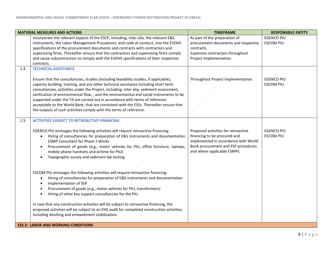|     | <b>MATERIAL MEASURES AND ACTIONS</b>                                                                                                                                                                                                                                                                                                                                                                                                                                                                                                                                                                                    | <b>TIMEFRAME</b>                                                                                                                                                                  | <b>RESPONSIBLE ENTITY</b>             |
|-----|-------------------------------------------------------------------------------------------------------------------------------------------------------------------------------------------------------------------------------------------------------------------------------------------------------------------------------------------------------------------------------------------------------------------------------------------------------------------------------------------------------------------------------------------------------------------------------------------------------------------------|-----------------------------------------------------------------------------------------------------------------------------------------------------------------------------------|---------------------------------------|
|     | Incorporate the relevant aspects of the ESCP, including, inter alia, the relevant E&S<br>instruments, the Labor Management Procedures, and code of conduct, into the ESOHS<br>specifications of the procurement documents and contracts with contractors and<br>supervising firms. Thereafter ensure that the contractors and supervising firms comply<br>and cause subcontractors to comply with the ESOHS specifications of their respective<br>contracts.                                                                                                                                                            | As part of the preparation of<br>procurement documents and respective<br>contracts.<br>Supervise contractors throughout<br>Project implementation.                                | <b>EGENCO PIU</b><br><b>ESCOM PIU</b> |
| 1.4 | <b>TECHNICAL ASSISTANCE</b>                                                                                                                                                                                                                                                                                                                                                                                                                                                                                                                                                                                             |                                                                                                                                                                                   |                                       |
|     | Ensure that the consultancies, studies (including feasibility studies, if applicable),<br>capacity building, training, and any other technical assistance including short term<br>consultancies, activities under the Project, including, inter alia, sediment assessment,<br>verification of environmental flow, , and the environmental and social instruments to be<br>supported under the TA are carried out in accordance with terms of reference<br>acceptable to the World Bank, that are consistent with the ESSs. Thereafter ensure that<br>the outputs of such activities comply with the terms of reference. | Throughout Project implementation.                                                                                                                                                | <b>EGENCO PIU</b><br><b>ESCOM PIU</b> |
| 1.5 | <b>ACTIVITIES SUBJECT TO RETROACTIVE FINANCING</b>                                                                                                                                                                                                                                                                                                                                                                                                                                                                                                                                                                      |                                                                                                                                                                                   |                                       |
|     | EGENCO PIU envisages the following activities will require retroactive financing:<br>Hiring of consultancies for preparation of E&S instruments and documentation<br>$\bullet$<br><b>ESMP Consultant for Phase 1 Works</b><br>Procurement of goods (e.g., motor vehicles for PIU, office furniture, laptops,<br>$\bullet$<br>mobile phone handsets and airtime for PIU)<br>Topographic survey and sediment lab testing<br>$\bullet$                                                                                                                                                                                     | Proposed activities for retroactive<br>financing to be procured and<br>implemented in accordance with World<br>Bank procurement and ESF procedures<br>and where applicable ESMPs. | <b>EGENCO PIU</b><br><b>ESCOM PIU</b> |
|     | ESCOM PIU envisages the following activities will require retroactive financing:<br>Hiring of consultancies for preparation of E&S instruments and documentation<br>$\bullet$<br>Implementation of SEP<br>$\bullet$<br>Procurement of goods (e.g., motor vehicles for PIU, transformers)<br>$\bullet$<br>Hiring of other key support consultancies for the PIU<br>$\bullet$                                                                                                                                                                                                                                             |                                                                                                                                                                                   |                                       |
|     | In case that any construction activities will be subject to retroactive financing, the<br>proposed activities will be subject to an EHS audit for completed construction activities,<br>including desilting and embankment stabilization.                                                                                                                                                                                                                                                                                                                                                                               |                                                                                                                                                                                   |                                       |
|     | <b>ESS 2: LABOR AND WORKING CONDITIONS</b>                                                                                                                                                                                                                                                                                                                                                                                                                                                                                                                                                                              |                                                                                                                                                                                   |                                       |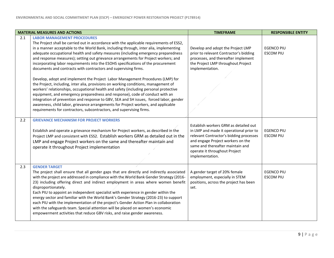|     | <b>MATERIAL MEASURES AND ACTIONS</b>                                                                                                                                                                                                                                                                                                                                                                                                                                                                                                                                                                                                                                                                                                                                                                                                                                                                                                                                                                                                                                                                                                                                   | <b>TIMEFRAME</b>                                                                                                                                                                                                                                         | <b>RESPONSIBLE ENTITY</b>             |
|-----|------------------------------------------------------------------------------------------------------------------------------------------------------------------------------------------------------------------------------------------------------------------------------------------------------------------------------------------------------------------------------------------------------------------------------------------------------------------------------------------------------------------------------------------------------------------------------------------------------------------------------------------------------------------------------------------------------------------------------------------------------------------------------------------------------------------------------------------------------------------------------------------------------------------------------------------------------------------------------------------------------------------------------------------------------------------------------------------------------------------------------------------------------------------------|----------------------------------------------------------------------------------------------------------------------------------------------------------------------------------------------------------------------------------------------------------|---------------------------------------|
| 2.1 | <b>LABOR MANAGEMENT PROCEDURES</b><br>The Project shall be carried out in accordance with the applicable requirements of ESS2,<br>in a manner acceptable to the World Bank, including through, inter alia, implementing<br>adequate occupational health and safety measures (including emergency preparedness<br>and response measures); setting out grievance arrangements for Project workers; and<br>incorporating labor requirements into the ESOHS specifications of the procurement<br>documents and contracts with contractors and supervising firms.<br>Develop, adopt and implement the Project Labor Management Procedures (LMP) for<br>the Project, including, inter alia, provisions on working conditions, management of<br>workers' relationships, occupational health and safety (including personal protective<br>equipment, and emergency preparedness and response), code of conduct with an<br>integration of prevention and response to GBV, SEA and SH issues, forced labor, gender<br>awareness, child labor, grievance arrangements for Project workers, and applicable<br>requirements for contractors, subcontractors, and supervising firms. | Develop and adopt the Project LMP<br>prior to relevant Contractor's bidding<br>processes, and thereafter implement<br>the Project LMP throughout Project<br>implementation.                                                                              | <b>EGENCO PIU</b><br><b>ESCOM PIU</b> |
| 2.2 | <b>GRIEVANCE MECHANISM FOR PROJECT WORKERS</b><br>Establish and operate a grievance mechanism for Project workers, as described in the<br>Project LMP and consistent with ESS2. Establish workers GRM as detailed out in the<br>LMP and engage Project workers on the same and thereafter maintain and<br>operate it throughout Project implementation                                                                                                                                                                                                                                                                                                                                                                                                                                                                                                                                                                                                                                                                                                                                                                                                                 | Establish workers GRM as detailed out<br>in LMP and made it operational prior to<br>relevant Contractor's bidding processes<br>and engage Project workers on the<br>same and thereafter maintain and<br>operate it throughout Project<br>implementation. | <b>EGENCO PIU</b><br><b>ESCOM PIU</b> |
| 2.3 | <b>GENDER TARGET</b><br>The project shall ensure that all gender gaps that are directly and indirectly associated<br>with the project are addressed in compliance with the World Bank Gender Strategy (2016-<br>23) including offering direct and indirect employment in areas where women benefit<br>disproportionately.<br>Each PIU to appoint an independent specialist with experience in gender within the<br>energy sector and familiar with the World Bank's Gender Strategy (2016-23) to support<br>each PIU with the implementation of the project's Gender Action Plan in collaboration<br>with the safeguards team. Special attention will be placed on women's economic<br>empowerment activities that reduce GBV risks, and raise gender awareness.                                                                                                                                                                                                                                                                                                                                                                                                       | A gender target of 20% female<br>employment, especially in STEM<br>positions, across the project has been<br>set.                                                                                                                                        | <b>EGENCO PIU</b><br><b>ESCOM PIU</b> |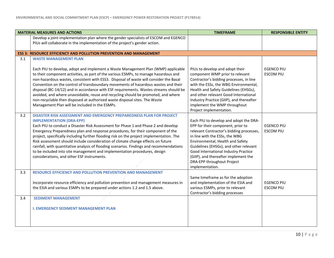|     | <b>MATERIAL MEASURES AND ACTIONS</b>                                                                                                                                                                                                                                                                                                                                                                                                                                                                                                                                                                                                                                                    | <b>TIMEFRAME</b>                                                                                                                                                                                                                                                                                                                                                         | <b>RESPONSIBLE ENTITY</b>             |
|-----|-----------------------------------------------------------------------------------------------------------------------------------------------------------------------------------------------------------------------------------------------------------------------------------------------------------------------------------------------------------------------------------------------------------------------------------------------------------------------------------------------------------------------------------------------------------------------------------------------------------------------------------------------------------------------------------------|--------------------------------------------------------------------------------------------------------------------------------------------------------------------------------------------------------------------------------------------------------------------------------------------------------------------------------------------------------------------------|---------------------------------------|
|     | Develop a joint implementation plan where the gender specialists of ESCOM and EGENCO                                                                                                                                                                                                                                                                                                                                                                                                                                                                                                                                                                                                    |                                                                                                                                                                                                                                                                                                                                                                          |                                       |
|     | PIUs will collaborate in the implementation of the project's gender action.                                                                                                                                                                                                                                                                                                                                                                                                                                                                                                                                                                                                             |                                                                                                                                                                                                                                                                                                                                                                          |                                       |
|     | <b>ESS 3: RESOURCE EFFICIENCY AND POLLUTION PREVENTION AND MANAGEMENT</b>                                                                                                                                                                                                                                                                                                                                                                                                                                                                                                                                                                                                               |                                                                                                                                                                                                                                                                                                                                                                          |                                       |
| 3.1 | <b>WASTE MANAGEMENT PLAN</b>                                                                                                                                                                                                                                                                                                                                                                                                                                                                                                                                                                                                                                                            |                                                                                                                                                                                                                                                                                                                                                                          |                                       |
|     | Each PIU to develop, adopt and implement a Waste Management Plan (WMP) applicable<br>to their component activities, as part of the various ESMPs, to manage hazardous and<br>non-hazardous wastes, consistent with ESS3. Disposal of waste will consider the Basal<br>Convention on the control of transboundary movements of hazardous wastes and their<br>disposal (BC-14/12) and in accordance with ESF requirements. Wastes streams should be<br>avoided, and where unavoidable, reuse and recycling should be promoted, and where<br>non-recyclable then disposed at authorized waste disposal sites. The Waste<br>Management Plan will be included in the ESMPs.                  | PIUs to develop and adopt their<br>component WMP prior to relevant<br>Contractor's bidding processes, in line<br>with the ESSs, the WBG Environmental,<br>Health and Safety Guidelines (EHSGs),<br>and other relevant Good International<br>Industry Practice (GIIP), and thereafter<br>implement the WMP throughout<br>Project implementation.                          | <b>EGENCO PIU</b><br><b>ESCOM PIU</b> |
| 3.2 | DISASTER RISK ASSESSMENT AND EMERGENCY PREPAREDNESS PLAN FOR PROJECT<br><b>IMPLEMENTATION (DRA-EPP)</b><br>Each PIU to conduct a Disaster Risk Assessment for Phase 1 and Phase 2 and develop<br>Emergency Preparedness plan and response procedures, for their component of the<br>project, specifically including further flooding risk on the project implementation. The<br>Risk assessment should include consideration of climate change effects on future<br>rainfall, with quantitative analysis of flooding scenarios. Findings and recommendations<br>to be included into site management and implementation procedures, design<br>considerations, and other ESF instruments. | Each PIU to develop and adopt the DRA-<br>EPP for their component, prior to<br>relevant Contractor's bidding processes,<br>in line with the ESSs, the WBG<br>Environmental, Health and Safety<br>Guidelines (EHSGs), and other relevant<br>Good International Industry Practice<br>(GIIP), and thereafter implement the<br>DRA-EPP throughout Project<br>implementation. | <b>EGENCO PIU</b><br><b>ESCOM PIU</b> |
| 3.3 | <b>RESOURCE EFFICIENCY AND POLLUTION PREVENTION AND MANAGEMENT</b><br>Incorporate resource efficiency and pollution prevention and management measures in<br>the ESIA and various ESMPs to be prepared under actions 1.2 and 1.5 above.                                                                                                                                                                                                                                                                                                                                                                                                                                                 | Same timeframe as for the adoption<br>and implementation of the ESIA and<br>various ESMPs, prior to relevant<br>Contractor's bidding processes                                                                                                                                                                                                                           | <b>EGENCO PIU</b><br><b>ESCOM PIU</b> |
| 3.4 | <b>SEDIMENT MANAGEMENT</b><br><b>I. EMERGENCY SEDIMENT MANAGEMENT PLAN</b>                                                                                                                                                                                                                                                                                                                                                                                                                                                                                                                                                                                                              |                                                                                                                                                                                                                                                                                                                                                                          |                                       |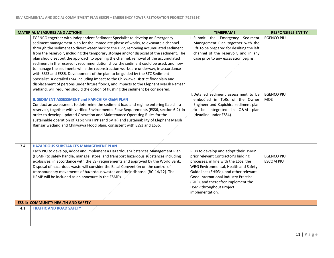|     | <b>MATERIAL MEASURES AND ACTIONS</b>                                                                                                                                                                                                                                                                                                                                                                                                                                                                                                                                                                                                                                                                                                                                                                                                                                                                                                                                                                                                                                                                                                                                                                                                                                                                                                                                                                                                                                          | <b>TIMEFRAME</b>                                                                                                                                                                                                                                                                                                                                                                | <b>RESPONSIBLE ENTITY</b>                            |
|-----|-------------------------------------------------------------------------------------------------------------------------------------------------------------------------------------------------------------------------------------------------------------------------------------------------------------------------------------------------------------------------------------------------------------------------------------------------------------------------------------------------------------------------------------------------------------------------------------------------------------------------------------------------------------------------------------------------------------------------------------------------------------------------------------------------------------------------------------------------------------------------------------------------------------------------------------------------------------------------------------------------------------------------------------------------------------------------------------------------------------------------------------------------------------------------------------------------------------------------------------------------------------------------------------------------------------------------------------------------------------------------------------------------------------------------------------------------------------------------------|---------------------------------------------------------------------------------------------------------------------------------------------------------------------------------------------------------------------------------------------------------------------------------------------------------------------------------------------------------------------------------|------------------------------------------------------|
|     | EGENCO together with Independent Sediment Specialist to develop an Emergency<br>sediment management plan for the immediate phase of works, to excavate a channel<br>through the sediment to divert water back to the HPP, removing accumulated sediment<br>from the reservoir, including the temporary storage and/or disposal of the sediment. The<br>plan should set out the approach to opening the channel, removal of the accumulated<br>sediment in the reservoir, recommendation show the sediment could be used, and how<br>to manage the sediments while the reconstruction works are underway, in accordance<br>with ESS3 and ESS6. Development of the plan to be guided by the STC Sediment<br>Specialist. A detailed ESIA including impact to the Chikwawa District floodplain and<br>displacement of persons under future floods, and impacts to the Elephant Marsh Ramsar<br>wetland, will required should the option of flushing the sediment be considered.<br><b>II. SEDIMENT ASSESSMENT and KAPICHIRA O&amp;M PLAN</b><br>Conduct an assessment to determine the sediment load and regime entering Kapichira<br>reservoir, together with verified Environmental Flow Requirements (ESS6, section 6.2) in<br>order to develop updated Operation and Maintenance Operating Rules for the<br>sustainable operation of Kapichira HPP (and SVTP) and sustainability of Elephant Marsh<br>Ramsar wetland and Chikwawa Flood plain. consistent with ESS3 and ESS6. | I. Submit the Emergency Sediment<br>Management Plan together with the<br>RfP to be prepared for desilting the left<br>channel of the reservoir, and in any<br>case prior to any excavation begins.<br>II. Detailed sediment assessment to be<br>embodied in ToRs of the Owner<br>Engineer and Kapichira sediment plan<br>to be integrated in O&M plan<br>(deadline under ESS4). | <b>EGENCO PIU</b><br><b>EGENCO PIU</b><br><b>MOE</b> |
|     |                                                                                                                                                                                                                                                                                                                                                                                                                                                                                                                                                                                                                                                                                                                                                                                                                                                                                                                                                                                                                                                                                                                                                                                                                                                                                                                                                                                                                                                                               |                                                                                                                                                                                                                                                                                                                                                                                 |                                                      |
| 3.4 | <b>HAZARDOUS SUBSTANCES MANAGEMENT PLAN</b><br>Each PIU to develop, adopt and implement a Hazardous Substances Management Plan<br>(HSMP) to safely handle, manage, store, and transport hazardous substances including<br>explosives, in accordance with the ESF requirements and approved by the World Bank.<br>Disposal of hazardous waste will consider the Basal Convention on the control of<br>transboundary movements of hazardous wastes and their disposal (BC-14/12). The<br>HSMP will be included as an annexure in the ESMPs.                                                                                                                                                                                                                                                                                                                                                                                                                                                                                                                                                                                                                                                                                                                                                                                                                                                                                                                                     | PIUs to develop and adopt their HSMP<br>prior relevant Contractor's bidding<br>processes, in line with the ESSs, the<br>WBG Environmental, Health and Safety<br>Guidelines (EHSGs), and other relevant<br>Good International Industry Practice<br>(GIIP), and thereafter implement the<br>HSMP throughout Project<br>implementation.                                            | <b>EGENCO PIU</b><br><b>ESCOM PIU</b>                |
|     | <b>ESS 4: COMMUNITY HEALTH AND SAFETY</b>                                                                                                                                                                                                                                                                                                                                                                                                                                                                                                                                                                                                                                                                                                                                                                                                                                                                                                                                                                                                                                                                                                                                                                                                                                                                                                                                                                                                                                     |                                                                                                                                                                                                                                                                                                                                                                                 |                                                      |
| 4.1 | <b>TRAFFIC AND ROAD SAFETY</b>                                                                                                                                                                                                                                                                                                                                                                                                                                                                                                                                                                                                                                                                                                                                                                                                                                                                                                                                                                                                                                                                                                                                                                                                                                                                                                                                                                                                                                                |                                                                                                                                                                                                                                                                                                                                                                                 |                                                      |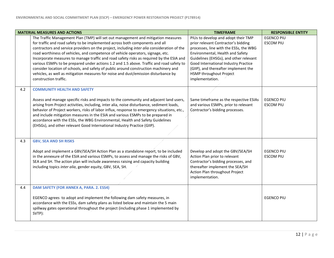|     | <b>MATERIAL MEASURES AND ACTIONS</b>                                                                                                                                                                                                                                                                                                                                                                                                                                                                                                                                                                                                                                                                                                                | <b>TIMEFRAME</b>                                                                                                                                                                                                                                                                                                                 | <b>RESPONSIBLE ENTITY</b>             |
|-----|-----------------------------------------------------------------------------------------------------------------------------------------------------------------------------------------------------------------------------------------------------------------------------------------------------------------------------------------------------------------------------------------------------------------------------------------------------------------------------------------------------------------------------------------------------------------------------------------------------------------------------------------------------------------------------------------------------------------------------------------------------|----------------------------------------------------------------------------------------------------------------------------------------------------------------------------------------------------------------------------------------------------------------------------------------------------------------------------------|---------------------------------------|
|     | The Traffic Management Plan (TMP) will set out management and mitigation measures<br>for traffic and road safety to be implemented across both components and all<br>contractors and service providers on the project, including inter alia consideration of the<br>road worthiness of vehicles, and competence of vehicle operators, signage, etc.<br>Incorporate measures to manage traffic and road safety risks as required by the ESIA and<br>various ESMPs to be prepared under actions 1.2 and 1.5 above. Traffic and road safety to<br>consider location of schools, and safety of public around construction machinery and<br>vehicles, as well as mitigation measures for noise and dust/emission disturbance by<br>construction traffic. | PIUs to develop and adopt their TMP<br>prior relevant Contractor's bidding<br>processes, line with the ESSs, the WBG<br>Environmental, Health and Safety<br>Guidelines (EHSGs), and other relevant<br>Good International Industry Practice<br>(GIIP), and thereafter implement the<br>HSMP throughout Project<br>implementation. | <b>EGENCO PIU</b><br><b>ESCOM PIU</b> |
| 4.2 | <b>COMMUNITY HEALTH AND SAFETY</b><br>Assess and manage specific risks and impacts to the community and adjacent land users,<br>arising from Project activities, including, inter alia, noise disturbance, sediment loads,<br>behavior of Project workers, risks of labor influx, response to emergency situations, etc.,<br>and include mitigation measures in the ESIA and various ESMPs to be prepared in<br>accordance with the ESSs, the WBG Environmental, Health and Safety Guidelines<br>(EHSGs), and other relevant Good International Industry Practice (GIIP).                                                                                                                                                                           | Same timeframe as the respective ESIAs<br>and various ESMPs, prior to relevant<br>Contractor's bidding processes.                                                                                                                                                                                                                | <b>EGENCO PIU</b><br><b>ESCOM PIU</b> |
| 4.3 | <b>GBV, SEA AND SH RISKS</b><br>Adopt and implement a GBV/SEA/SH Action Plan as a standalone report, to be included<br>in the annexure of the ESIA and various ESMPs, to assess and manage the risks of GBV,<br>SEA and SH. The action plan will include awareness raising and capacity building<br>including topics inter alia, gender equity, GBV, SEA, SH.                                                                                                                                                                                                                                                                                                                                                                                       | Develop and adopt the GBV/SEA/SH<br>Action Plan prior to relevant<br>Contractor's bidding processes, and<br>thereafter implement the SEA/SH<br>Action Plan throughout Project<br>implementation.                                                                                                                                 | <b>EGENCO PIU</b><br><b>ESCOM PIU</b> |
| 4.4 | DAM SAFETY (FOR ANNEX A, PARA. 2. ESS4)<br>EGENCO agrees to adopt and implement the following dam safety measures, in<br>accordance with the ESSs, dam safety plans as listed below and maintain the 5 main<br>spillway gates operational throughout the project (including phase 1 implemented by<br>SVTP):                                                                                                                                                                                                                                                                                                                                                                                                                                        |                                                                                                                                                                                                                                                                                                                                  | <b>EGENCO PIU</b>                     |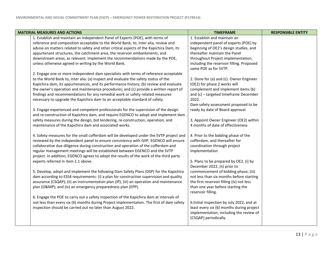| <b>MATERIAL MEASURES AND ACTIONS</b>                                                      | <b>TIMEFRAME</b>                                                   | <b>RESPONSIBLE ENTITY</b> |
|-------------------------------------------------------------------------------------------|--------------------------------------------------------------------|---------------------------|
| 1. Establish and maintain an independent Panel of Experts (POE), with terms of            | 1. Establish and maintain an                                       |                           |
| reference and composition acceptable to the World Bank, to, inter alia, review and        | independent panel of experts (POE) by                              |                           |
| advise on matters related to safety and other critical aspects of the Kapichira Dam, its  | beginning of OE2's design studies, and                             |                           |
| appurtenant structures, the catchment area, the reservoir embankments, and                | thereafter maintain the Panel                                      |                           |
| downstream areas, as relevant. Implement the recommendations made by the POE,             | throughout Project implementation,                                 |                           |
| unless otherwise agreed in writing by the World Bank.                                     | including the reservoir filling. Proposed<br>same POE as for SVTP. |                           |
| 2. Engage one or more independent dam specialists with terms of reference acceptable      |                                                                    |                           |
| to the World Bank to, inter alia: (a) inspect and evaluate the safety status of the       | 2. Done for (a) and (c). Owner Engineer                            |                           |
| Kapichira dam, its appurtenances, and its performance history; (b) review and evaluate    | (OE2) for phase 2 works will                                       |                           |
| the owner's operation and maintenance procedures; and (c) provide a written report of     | complement and implement items (b)                                 |                           |
| findings and recommendations for any remedial work or safety related measures             | and (c) - targeted timeframe December                              |                           |
| necessary to upgrade the Kapichira dam to an acceptable standard of safety.               | 2022.                                                              |                           |
|                                                                                           | Dam safety assessment proposed to be                               |                           |
| 3. Engage experienced and competent professionals for the supervision of the design       | ready by date of Board approval.                                   |                           |
| and re-construction of Kapichira dam, and require EGENCO to adopt and implement dam       |                                                                    |                           |
| safety measures during the design, bid tendering, re-construction, operation, and         | 3. Appoint Owner Engineer (OE2) within                             |                           |
| maintenance of the Kapichira dam and associated works.                                    | 4 months of date of effectiveness                                  |                           |
| 4. Safety measures for the small cofferdam will be developed under the SVTP project and   | 4. Prior to the bidding phase of the                               |                           |
| reviewed by the independent panel to ensure consistency with GIIP. EGENCO will ensure     | cofferdam, and thereafter for                                      |                           |
| collaborative due diligence during construction and operation of the cofferdam and        | coordination through project                                       |                           |
| regular management meetings will be established between EGENCO and the SVTP               | implementation                                                     |                           |
| project. In addition, EGENCO agrees to adopt the results of the work of the third party   |                                                                    |                           |
| experts referred in item 1.1 above.                                                       | 5. Plans to be prepared by OE2. (i) by                             |                           |
|                                                                                           | December 2022, (ii) prior to                                       |                           |
| 5. Develop, adopt and implement the following Dam Safety Plans (DSP) for the Kapichira    | commencement of bidding phase, (iii)                               |                           |
| dam according to ESS4 requirements: (i) a plan for construction supervision and quality   | not less than six months before starting                           |                           |
| assurance (CSQAP); (ii) an instrumentation plan (IP); (iii) an operation and maintenance  | the first reservoir filling (iv) not less                          |                           |
| plan (O&MP); and (iv) an emergency preparedness plan (EPP).                               | than one year before starting the                                  |                           |
|                                                                                           | reservoir filling.                                                 |                           |
| 6. Engage the POE to carry out a safety inspection of the Kapichira dam at intervals of   |                                                                    |                           |
| not less than every six (6) months during Project implementation. The first of dam safety | 6. Initial inspection by July 2022, and at                         |                           |
| inspection should be carried out no later than August 2022.                               | least every six (6) months during project                          |                           |
|                                                                                           | implementation, including the review of                            |                           |
|                                                                                           | (CSQAP) periodically.                                              |                           |
|                                                                                           |                                                                    |                           |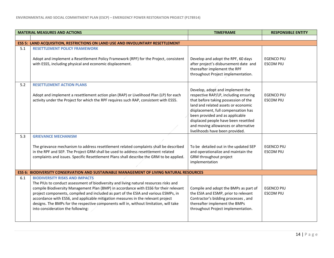|     | <b>MATERIAL MEASURES AND ACTIONS</b>                                                                                                                                                                                                                                                                                                                                                                                                                                                                                              | <b>TIMEFRAME</b>                                                                                                                                                                                                                                                                                                                                      | <b>RESPONSIBLE ENTITY</b>             |
|-----|-----------------------------------------------------------------------------------------------------------------------------------------------------------------------------------------------------------------------------------------------------------------------------------------------------------------------------------------------------------------------------------------------------------------------------------------------------------------------------------------------------------------------------------|-------------------------------------------------------------------------------------------------------------------------------------------------------------------------------------------------------------------------------------------------------------------------------------------------------------------------------------------------------|---------------------------------------|
|     |                                                                                                                                                                                                                                                                                                                                                                                                                                                                                                                                   |                                                                                                                                                                                                                                                                                                                                                       |                                       |
|     | <b>ESS 5: LAND ACQUISITION, RESTRICTIONS ON LAND USE AND INVOLUNTARY RESETTLEMENT</b>                                                                                                                                                                                                                                                                                                                                                                                                                                             |                                                                                                                                                                                                                                                                                                                                                       |                                       |
| 5.1 | <b>RESETTLEMENT POLICY FRAMEWORK</b><br>Adopt and implement a Resettlement Policy Framework (RPF) for the Project, consistent<br>with ESS5, including physical and economic displacement.                                                                                                                                                                                                                                                                                                                                         | Develop and adopt the RPF, 60 days<br>after project's disbursement date and<br>thereafter implement the RPF<br>throughout Project implementation.                                                                                                                                                                                                     | <b>EGENCO PIU</b><br><b>ESCOM PIU</b> |
| 5.2 | <b>RESETTLEMENT ACTION PLANS</b><br>Adopt and implement a resettlement action plan (RAP) or Livelihood Plan (LP) for each<br>activity under the Project for which the RPF requires such RAP, consistent with ESS5.                                                                                                                                                                                                                                                                                                                | Develop, adopt and implement the<br>respective RAP/LP, including ensuring<br>that before taking possession of the<br>land and related assets or economic<br>displacement, full compensation has<br>been provided and as applicable<br>displaced people have been resettled<br>and moving allowances or alternative<br>livelihoods have been provided. | <b>EGENCO PIU</b><br><b>ESCOM PIU</b> |
| 5.3 | <b>GRIEVANCE MECHANISM</b><br>The grievance mechanism to address resettlement related complaints shall be described<br>in the RPF and SEP. The Project GRM shall be used to address resettlement related<br>complaints and issues. Specific Resettlement Plans shall describe the GRM to be applied.                                                                                                                                                                                                                              | To be detailed out in the updated SEP<br>and operationalize and maintain the<br>GRM throughout project<br>implementation                                                                                                                                                                                                                              | <b>EGENCO PIU</b><br><b>ESCOM PIU</b> |
|     | <b>ESS 6: BIODIVERSITY CONSERVATION AND SUSTAINABLE MANAGEMENT OF LIVING NATURAL RESOURCES</b>                                                                                                                                                                                                                                                                                                                                                                                                                                    |                                                                                                                                                                                                                                                                                                                                                       |                                       |
| 6.1 | <b>BIODIVERSITY RISKS AND IMPACTS</b><br>The PIUs to conduct assessment of biodiversity and living natural resources risks and<br>compile Biodiversity Management Plan (BMP) in accordance with ESS6 for their relevant<br>project components, compiled and included as part of the ESIA and various ESMPs, in<br>accordance with ESS6, and applicable mitigation measures in the relevant project<br>designs. The BMPs for the respective components will in, without limitation, will take<br>into consideration the following: | Compile and adopt the BMPs as part of<br>the ESIA and ESMP, prior to relevant<br>Contractor's bidding processes, and<br>thereafter implement the BMPs<br>throughout Project implementation.                                                                                                                                                           | <b>EGENCO PIU</b><br><b>ESCOM PIU</b> |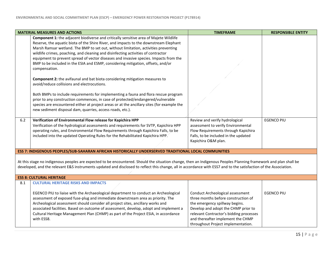| <b>MATERIAL MEASURES AND ACTIONS</b>                                                                                                                                                                                                                                                                                                                                     |                                                                                                                                                                                                                                                                                                                                                                                                                                                                                                                                                          | <b>TIMEFRAME</b>                                                                                                                                                                                                                                                       | <b>RESPONSIBLE ENTITY</b> |  |  |
|--------------------------------------------------------------------------------------------------------------------------------------------------------------------------------------------------------------------------------------------------------------------------------------------------------------------------------------------------------------------------|----------------------------------------------------------------------------------------------------------------------------------------------------------------------------------------------------------------------------------------------------------------------------------------------------------------------------------------------------------------------------------------------------------------------------------------------------------------------------------------------------------------------------------------------------------|------------------------------------------------------------------------------------------------------------------------------------------------------------------------------------------------------------------------------------------------------------------------|---------------------------|--|--|
|                                                                                                                                                                                                                                                                                                                                                                          | Component 1: the adjacent biodiverse and critically sensitive area of Majete Wildlife<br>Reserve, the aquatic biota of the Shire River, and impacts to the downstream Elephant<br>Marsh Ramsar wetland. The BMP to set out, without limitation, activities preventing<br>wildlife crimes, poaching, and cleaning and disinfecting activities of contractor<br>equipment to prevent spread of vector diseases and invasive species. Impacts from the<br>BMP to be included in the ESIA and ESMP, considering mitigation, offsets, and/or<br>compensation. |                                                                                                                                                                                                                                                                        |                           |  |  |
|                                                                                                                                                                                                                                                                                                                                                                          | <b>Component 2:</b> the avifaunal and bat biota considering mitigation measures to<br>avoid/reduce collisions and electrocutions.                                                                                                                                                                                                                                                                                                                                                                                                                        |                                                                                                                                                                                                                                                                        |                           |  |  |
|                                                                                                                                                                                                                                                                                                                                                                          | Both BMPs to include requirements for implementing a fauna and flora rescue program<br>prior to any construction commences, in case of protected/endangered/vulnerable<br>species are encountered either at project areas or at the ancillary sites (for example the<br>new sediment disposal dam, quarries, access roads, etc.).                                                                                                                                                                                                                        |                                                                                                                                                                                                                                                                        |                           |  |  |
| $6.2$                                                                                                                                                                                                                                                                                                                                                                    | Verification of Environmental Flow release for Kapichira HPP<br>Verification of the hydrological assessments and requirements for SVTP, Kapichira HPP<br>operating rules, and Environmental Flow Requirements through Kapichira Falls, to be<br>included into the updated Operating Rules for the Rehabilitated Kapichira HPP.                                                                                                                                                                                                                           | Review and verify hydrological<br>assessment to verify Environmental<br>Flow Requirements through Kapichira<br>Falls, to be included in the updated<br>Kapichira O&M plan.                                                                                             | <b>EGENCO PIU</b>         |  |  |
|                                                                                                                                                                                                                                                                                                                                                                          | ESS 7: INDIGENOUS PEOPLES/SUB-SAHARAN AFRICAN HISTORICALLY UNDERSERVED TRADITIONAL LOCAL COMMUNITIES                                                                                                                                                                                                                                                                                                                                                                                                                                                     |                                                                                                                                                                                                                                                                        |                           |  |  |
| At this stage no indigenous peoples are expected to be encountered. Should the situation change, then an Indigenous Peoples Planning framework and plan shall be<br>developed, and the relevant E&S instruments updated and disclosed to reflect this change, all in accordance with ESS7 and to the satisfaction of the Association.<br><b>ESS 8: CULTURAL HERITAGE</b> |                                                                                                                                                                                                                                                                                                                                                                                                                                                                                                                                                          |                                                                                                                                                                                                                                                                        |                           |  |  |
| 8.1                                                                                                                                                                                                                                                                                                                                                                      | <b>CULTURAL HERITAGE RISKS AND IMPACTS</b>                                                                                                                                                                                                                                                                                                                                                                                                                                                                                                               |                                                                                                                                                                                                                                                                        |                           |  |  |
|                                                                                                                                                                                                                                                                                                                                                                          | EGENCO PIU to liaise with the Archaeological department to conduct an Archeological<br>assessment of exposed fuse-plug and immediate downstream area as priority. The<br>Archeological assessment should consider all project sites, ancillary works and<br>associated facilities. Based on outcome of assessment, develop, adopt and implement a<br>Cultural Heritage Management Plan (CHMP) as part of the Project ESIA, in accordance<br>with ESS8.                                                                                                   | Conduct Archeological assessment<br>three months before construction of<br>the emergency spillway begins.<br>Develop and adopt the CHMP prior to<br>relevant Contractor's bidding processes<br>and thereafter implement the CHMP<br>throughout Project implementation. | <b>EGENCO PIU</b>         |  |  |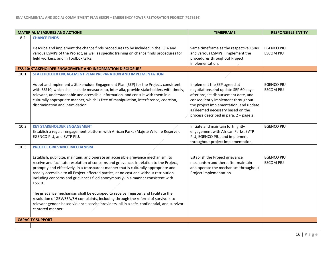| <b>MATERIAL MEASURES AND ACTIONS</b> |                                                                                                                                                                                                                                                                                                                                                                                                                                                                                                                                                                                                                                                                                                                                                                                                       | <b>TIMEFRAME</b>                                                                                                                                                                                                                                                        | <b>RESPONSIBLE ENTITY</b>             |
|--------------------------------------|-------------------------------------------------------------------------------------------------------------------------------------------------------------------------------------------------------------------------------------------------------------------------------------------------------------------------------------------------------------------------------------------------------------------------------------------------------------------------------------------------------------------------------------------------------------------------------------------------------------------------------------------------------------------------------------------------------------------------------------------------------------------------------------------------------|-------------------------------------------------------------------------------------------------------------------------------------------------------------------------------------------------------------------------------------------------------------------------|---------------------------------------|
| 8.2                                  | <b>CHANCE FINDS</b>                                                                                                                                                                                                                                                                                                                                                                                                                                                                                                                                                                                                                                                                                                                                                                                   |                                                                                                                                                                                                                                                                         |                                       |
|                                      | Describe and implement the chance finds procedures to be included in the ESIA and<br>various ESMPs of the Project, as well as specific training on chance finds procedures for<br>field workers, and in Toolbox talks.                                                                                                                                                                                                                                                                                                                                                                                                                                                                                                                                                                                | Same timeframe as the respective ESIAs<br>and various ESMPs. Implement the<br>procedures throughout Project<br>implementation.                                                                                                                                          | <b>EGENCO PIU</b><br><b>ESCOM PIU</b> |
|                                      | <b>ESS 10: STAKEHOLDER ENGAGEMENT AND INFORMATION DISCLOSURE</b>                                                                                                                                                                                                                                                                                                                                                                                                                                                                                                                                                                                                                                                                                                                                      |                                                                                                                                                                                                                                                                         |                                       |
| 10.1                                 | STAKEHOLDER ENGAGEMENT PLAN PREPARATION AND IMPLEMENTATION                                                                                                                                                                                                                                                                                                                                                                                                                                                                                                                                                                                                                                                                                                                                            |                                                                                                                                                                                                                                                                         |                                       |
|                                      | Adopt and implement a Stakeholder Engagement Plan (SEP) for the Project, consistent<br>with ESS10, which shall include measures to, inter alia, provide stakeholders with timely,<br>relevant, understandable and accessible information, and consult with them in a<br>culturally appropriate manner, which is free of manipulation, interference, coercion,<br>discrimination and intimidation.                                                                                                                                                                                                                                                                                                                                                                                                     | Implement the SEP agreed at<br>negotiations and update SEP 60 days<br>after project disbursement date, and<br>consequently implement throughout<br>the project implementation, and update<br>as deemed necessary based on the<br>process described in para. 2 - page 2. | <b>EGENCO PIU</b><br><b>ESCOM PIU</b> |
| 10.2                                 | <b>KEY STAKEHOLDER ENGAGEMENT</b><br>Establish a regular engagement platform with African Parks (Majete Wildlife Reserve),<br>EGENCO PIU, and SVTP PIU.                                                                                                                                                                                                                                                                                                                                                                                                                                                                                                                                                                                                                                               | Initiate and maintain fortnightly<br>engagement with African Parks, SVTP<br>PIU, EGENCO PIU, and implement<br>throughout project implementation.                                                                                                                        | <b>EGENCO PIU</b>                     |
| 10.3                                 | <b>PROJECT GRIEVANCE MECHANISM</b><br>Establish, publicize, maintain, and operate an accessible grievance mechanism, to<br>receive and facilitate resolution of concerns and grievances in relation to the Project,<br>promptly and effectively, in a transparent manner that is culturally appropriate and<br>readily accessible to all Project-affected parties, at no cost and without retribution,<br>including concerns and grievances filed anonymously, in a manner consistent with<br>ESS10.<br>The grievance mechanism shall be equipped to receive, register, and facilitate the<br>resolution of GBV/SEA/SH complaints, including through the referral of survivors to<br>relevant gender-based violence service providers, all in a safe, confidential, and survivor-<br>centered manner. | Establish the Project grievance<br>mechanism and thereafter maintain<br>and operate the mechanism throughout<br>Project implementation.                                                                                                                                 | <b>EGENCO PIU</b><br><b>ESCOM PIU</b> |
|                                      | <b>CAPACITY SUPPORT</b>                                                                                                                                                                                                                                                                                                                                                                                                                                                                                                                                                                                                                                                                                                                                                                               |                                                                                                                                                                                                                                                                         |                                       |
|                                      |                                                                                                                                                                                                                                                                                                                                                                                                                                                                                                                                                                                                                                                                                                                                                                                                       |                                                                                                                                                                                                                                                                         |                                       |